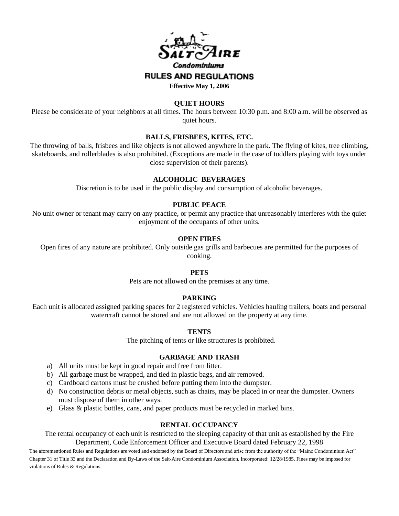

### **QUIET HOURS**

Please be considerate of your neighbors at all times*.* The hours between 10:30 p.m. and 8:00 a.m. will be observed as quiet hours.

## **BALLS, FRISBEES, KITES, ETC.**

The throwing of balls, frisbees and like objects is not allowed anywhere in the park. The flying of kites, tree climbing, skateboards, and rollerblades is also prohibited. (Exceptions are made in the case of toddlers playing with toys under close supervision of their parents).

# **ALCOHOLIC BEVERAGES**

Discretion is to be used in the public display and consumption of alcoholic beverages.

# **PUBLIC PEACE**

No unit owner or tenant may carry on any practice, or permit any practice that unreasonably interferes with the quiet enjoyment of the occupants of other units.

## **OPEN FIRES**

Open fires of any nature are prohibited. Only outside gas grills and barbecues are permitted for the purposes of cooking.

## **PETS**

Pets are not allowed on the premises at any time.

### **PARKING**

Each unit is allocated assigned parking spaces for 2 registered vehicles. Vehicles hauling trailers, boats and personal watercraft cannot be stored and are not allowed on the property at any time.

### **TENTS**

The pitching of tents or like structures is prohibited.

### **GARBAGE AND TRASH**

- a) All units must be kept in good repair and free from litter.
- b) All garbage must be wrapped, and tied in plastic bags, and air removed.
- c) Cardboard cartons must be crushed before putting them into the dumpster.
- d) No construction debris or metal objects, such as chairs, may be placed in or near the dumpster. Owners must dispose of them in other ways.
- e) Glass & plastic bottles, cans, and paper products must be recycled in marked bins.

### **RENTAL OCCUPANCY**

The rental occupancy of each unit is restricted to the sleeping capacity of that unit as established by the Fire Department, Code Enforcement Officer and Executive Board dated February 22, 1998

The aforementioned Rules and Regulations are voted and endorsed by the Board of Directors and arise from the authority of the "Maine Condominium Act" Chapter 31 of Title 33 and the Declaration and By-Laws of the Salt-Aire Condominium Association, Incorporated: 12/28/1985. Fines may be imposed for violations of Rules & Regulations.